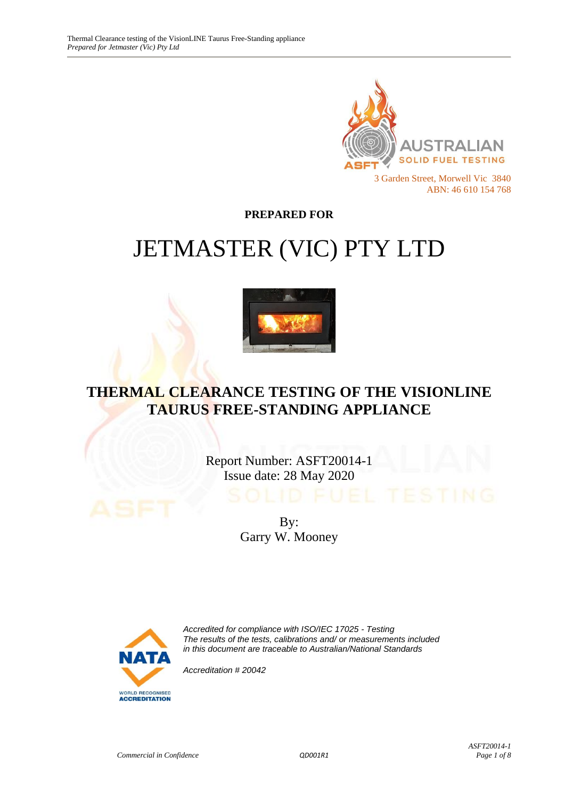

**PREPARED FOR**

# JETMASTER (VIC) PTY LTD



## **THERMAL CLEARANCE TESTING OF THE VISIONLINE TAURUS FREE-STANDING APPLIANCE**

Report Number: ASFT20014-1 Issue date: 28 May 2020

> By: Garry W. Mooney



*Accredited for compliance with ISO/IEC 17025 - Testing The results of the tests, calibrations and/ or measurements included in this document are traceable to Australian/National Standards*

*Accreditation # 20042*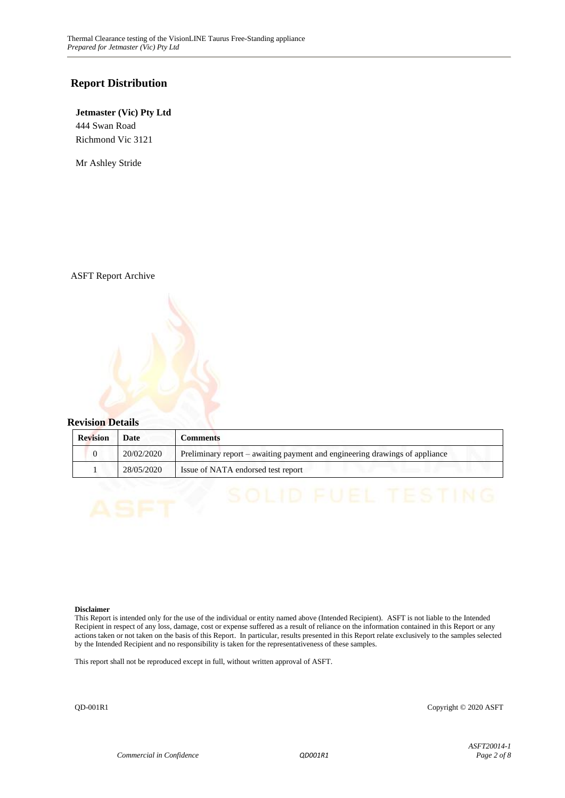#### **Report Distribution**

#### **Jetmaster (Vic) Pty Ltd** 444 Swan Road Richmond Vic 3121

Mr Ashley Stride

ASFT Report Archive

#### **Revision Details**

| <b>Revision</b> | Date       | Comments                                                                    |
|-----------------|------------|-----------------------------------------------------------------------------|
|                 | 20/02/2020 | Preliminary report – awaiting payment and engineering drawings of appliance |
|                 | 28/05/2020 | Issue of NATA endorsed test report                                          |

#### **Disclaimer**

This Report is intended only for the use of the individual or entity named above (Intended Recipient). ASFT is not liable to the Intended Recipient in respect of any loss, damage, cost or expense suffered as a result of reliance on the information contained in this Report or any actions taken or not taken on the basis of this Report. In particular, results presented in this Report relate exclusively to the samples selected by the Intended Recipient and no responsibility is taken for the representativeness of these samples.

This report shall not be reproduced except in full, without written approval of ASFT.

QD-001R1 Copyright © 2020 ASFT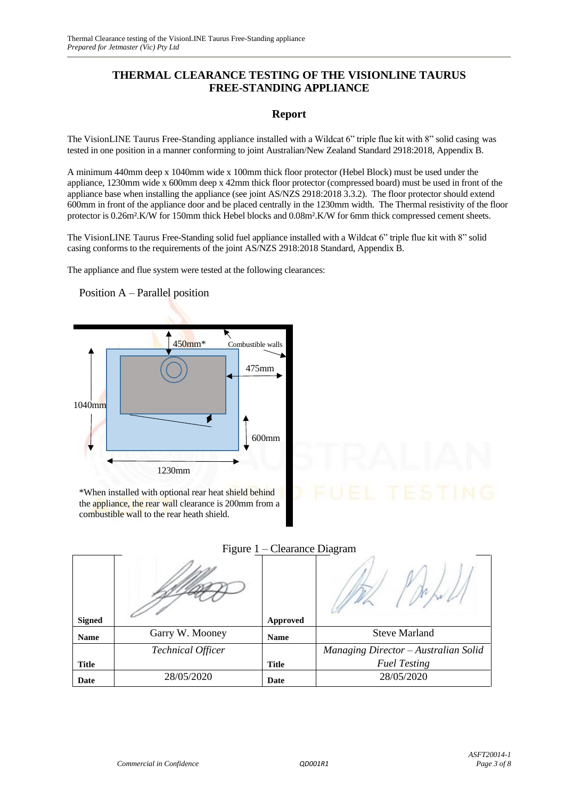## **THERMAL CLEARANCE TESTING OF THE VISIONLINE TAURUS FREE-STANDING APPLIANCE**

#### **Report**

The VisionLINE Taurus Free-Standing appliance installed with a Wildcat 6" triple flue kit with 8" solid casing was tested in one position in a manner conforming to joint Australian/New Zealand Standard 2918:2018, Appendix B.

A minimum 440mm deep x 1040mm wide x 100mm thick floor protector (Hebel Block) must be used under the appliance, 1230mm wide x 600mm deep x 42mm thick floor protector (compressed board) must be used in front of the appliance base when installing the appliance (see joint AS/NZS 2918:2018 3.3.2). The floor protector should extend 600mm in front of the appliance door and be placed centrally in the 1230mm width. The Thermal resistivity of the floor protector is 0.26m².K/W for 150mm thick Hebel blocks and 0.08m².K/W for 6mm thick compressed cement sheets.

The VisionLINE Taurus Free-Standing solid fuel appliance installed with a Wildcat 6" triple flue kit with 8" solid casing conforms to the requirements of the joint AS/NZS 2918:2018 Standard, Appendix B.

The appliance and flue system were tested at the following clearances:

450mm<sup>\*</sup> Combustible walls 475mm 1040mm 600mm 1230mm

Position A – Parallel position

\*When installed with optional rear heat shield behind the appliance, the rear wall clearance is 200mm from a combustible wall to the rear heath shield.

|               | $1.1 \leq \text{uiv } 1$<br>$C_{\rm 1}$ change $D_{\rm 1}$ and $D_{\rm 1}$ |              |                                      |
|---------------|----------------------------------------------------------------------------|--------------|--------------------------------------|
| <b>Signed</b> |                                                                            | Approved     |                                      |
| <b>Name</b>   | Garry W. Mooney                                                            | <b>Name</b>  | <b>Steve Marland</b>                 |
|               | <b>Technical Officer</b>                                                   |              | Managing Director - Australian Solid |
| <b>Title</b>  |                                                                            | <b>Title</b> | <b>Fuel Testing</b>                  |
| Date          | 28/05/2020                                                                 | Date         | 28/05/2020                           |

#### Figure 1 – Clearance Diagram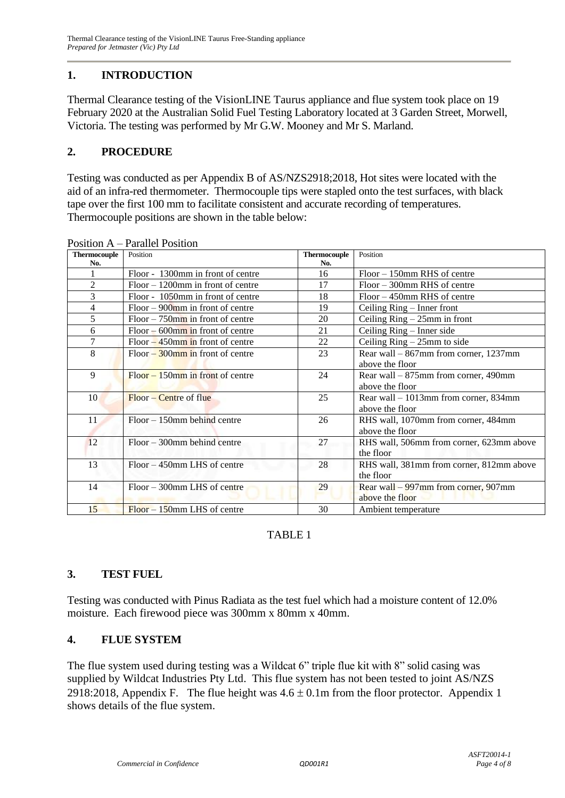## **1. INTRODUCTION**

Thermal Clearance testing of the VisionLINE Taurus appliance and flue system took place on 19 February 2020 at the Australian Solid Fuel Testing Laboratory located at 3 Garden Street, Morwell, Victoria. The testing was performed by Mr G.W. Mooney and Mr S. Marland.

## **2. PROCEDURE**

Testing was conducted as per Appendix B of AS/NZS2918;2018, Hot sites were located with the aid of an infra-red thermometer. Thermocouple tips were stapled onto the test surfaces, with black tape over the first 100 mm to facilitate consistent and accurate recording of temperatures. Thermocouple positions are shown in the table below:

| <b>Thermocouple</b> | Position                             | <b>Thermocouple</b> | Position                                 |
|---------------------|--------------------------------------|---------------------|------------------------------------------|
| No.                 |                                      | No.                 |                                          |
|                     | Floor - 1300mm in front of centre    | 16                  | $Floor - 150$ mm RHS of centre           |
| $\overline{c}$      | $Floor - 1200$ mm in front of centre | 17                  | $Floor - 300$ mm RHS of centre           |
| 3                   | Floor - 1050mm in front of centre    | 18                  | $Floor - 450$ mm RHS of centre           |
| 4                   | $Floor - 900$ mm in front of centre  | 19                  | Ceiling Ring - Inner front               |
| 5                   | $Floor-750$ mm in front of centre    | 20                  | Ceiling $Ring - 25mm$ in front           |
| 6                   | $Floor - 600$ mm in front of centre  | 21                  | Ceiling Ring - Inner side                |
| 7                   | $Floor - 450$ mm in front of centre  | 22                  | Ceiling $Ring - 25mm$ to side            |
| 8                   | $Floor - 300$ mm in front of centre  | 23                  | Rear wall – 867mm from corner, 1237mm    |
|                     |                                      |                     | above the floor                          |
| 9                   | $Floor - 150$ mm in front of centre  | 24                  | Rear wall $-875$ mm from corner, 490mm   |
|                     |                                      |                     | above the floor                          |
| 10                  | $Floor - Centre$ of flue             | 25                  | Rear wall $-1013$ mm from corner, 834mm  |
|                     |                                      |                     | above the floor                          |
| 11                  | $Floor - 150$ mm behind centre       | 26                  | RHS wall, 1070mm from corner, 484mm      |
|                     |                                      |                     | above the floor                          |
| 12                  | $Floor - 300$ mm behind centre       | 27                  | RHS wall, 506mm from corner, 623mm above |
|                     |                                      |                     | the floor                                |
| 13                  | $Floor - 450$ mm LHS of centre       | 28                  | RHS wall, 381mm from corner, 812mm above |
|                     |                                      |                     | the floor                                |
| 14                  | Floor – 300mm LHS of centre          | 29                  | Rear wall – 997mm from corner, 907mm     |
|                     |                                      |                     | above the floor                          |
| 15                  | $Floor - 150$ mm LHS of centre       | 30                  | Ambient temperature                      |

Position A – Parallel Position

## TABLE 1

## **3. TEST FUEL**

Testing was conducted with Pinus Radiata as the test fuel which had a moisture content of 12.0% moisture. Each firewood piece was 300mm x 80mm x 40mm.

## **4. FLUE SYSTEM**

The flue system used during testing was a Wildcat 6" triple flue kit with 8" solid casing was supplied by Wildcat Industries Pty Ltd. This flue system has not been tested to joint AS/NZS 2918:2018, Appendix F. The flue height was  $4.6 \pm 0.1$ m from the floor protector. Appendix 1 shows details of the flue system.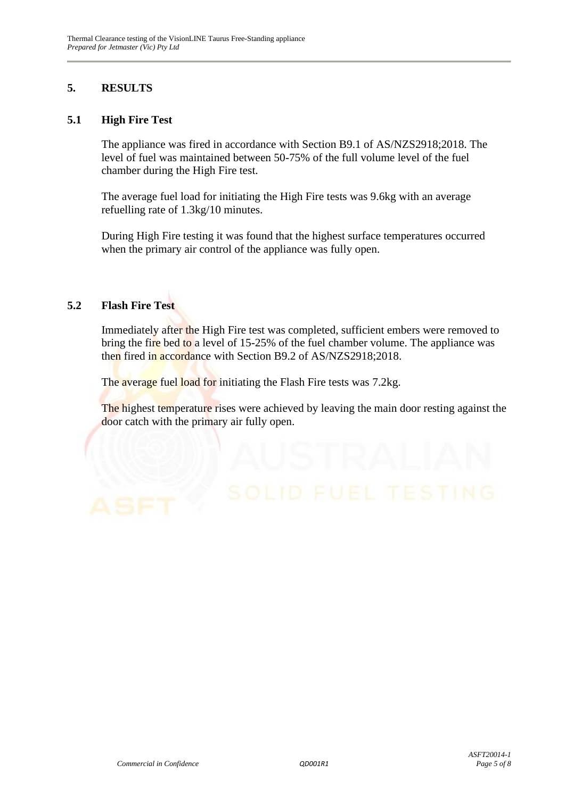## **5. RESULTS**

#### **5.1 High Fire Test**

The appliance was fired in accordance with Section B9.1 of AS/NZS2918;2018. The level of fuel was maintained between 50-75% of the full volume level of the fuel chamber during the High Fire test.

The average fuel load for initiating the High Fire tests was 9.6kg with an average refuelling rate of 1.3kg/10 minutes.

During High Fire testing it was found that the highest surface temperatures occurred when the primary air control of the appliance was fully open.

## **5.2 Flash Fire Test**

Immediately after the High Fire test was completed, sufficient embers were removed to bring the fire bed to a level of 15-25% of the fuel chamber volume. The appliance was then fired in accordance with Section B9.2 of AS/NZS2918;2018.

The average fuel load for initiating the Flash Fire tests was 7.2kg.

The highest temperature rises were achieved by leaving the main door resting against the door catch with the primary air fully open.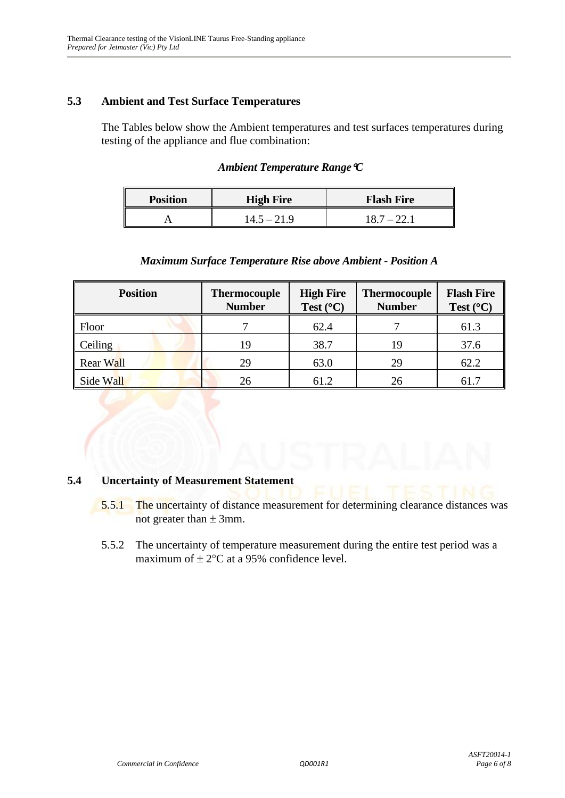## **5.3 Ambient and Test Surface Temperatures**

The Tables below show the Ambient temperatures and test surfaces temperatures during testing of the appliance and flue combination:

#### *Ambient Temperature RangeC*

| <b>Position</b> | <b>High Fire</b> | <b>Flash Fire</b> |  |  |
|-----------------|------------------|-------------------|--|--|
|                 | $14.5 - 21.9$    | 18.7 – 22.1       |  |  |

#### *Maximum Surface Temperature Rise above Ambient - Position A*

| <b>Position</b> | <b>Thermocouple</b><br><b>Number</b> | <b>High Fire</b><br>Test $(^{\circ}C)$ | <b>Thermocouple</b><br><b>Number</b> | <b>Flash Fire</b><br>Test $(^{\circ}C)$ |
|-----------------|--------------------------------------|----------------------------------------|--------------------------------------|-----------------------------------------|
| Floor           |                                      | 62.4                                   |                                      | 61.3                                    |
| Ceiling         | 19                                   | 38.7                                   | 19                                   | 37.6                                    |
| Rear Wall       | 29                                   | 63.0                                   | 29                                   | 62.2                                    |
| Side Wall       | 26                                   | 61.2                                   | 26                                   | 61.7                                    |

#### **5.4 Uncertainty of Measurement Statement**

- 5.5.1 The uncertainty of distance measurement for determining clearance distances was not greater than  $\pm$  3mm.
- 5.5.2 The uncertainty of temperature measurement during the entire test period was a maximum of  $\pm 2$ °C at a 95% confidence level.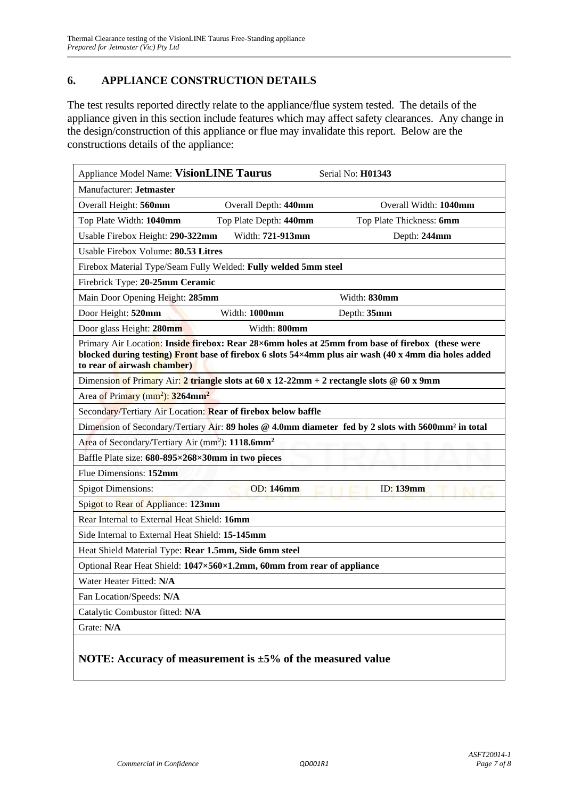## **6. APPLIANCE CONSTRUCTION DETAILS**

The test results reported directly relate to the appliance/flue system tested. The details of the appliance given in this section include features which may affect safety clearances. Any change in the design/construction of this appliance or flue may invalidate this report. Below are the constructions details of the appliance:

| Appliance Model Name: VisionLINE Taurus                                                                                                                                                                                                 | Serial No: H01343        |  |  |  |
|-----------------------------------------------------------------------------------------------------------------------------------------------------------------------------------------------------------------------------------------|--------------------------|--|--|--|
| Manufacturer: Jetmaster                                                                                                                                                                                                                 |                          |  |  |  |
| Overall Depth: 440mm<br>Overall Height: 560mm                                                                                                                                                                                           | Overall Width: 1040mm    |  |  |  |
| Top Plate Depth: 440mm<br>Top Plate Width: 1040mm                                                                                                                                                                                       | Top Plate Thickness: 6mm |  |  |  |
| Width: 721-913mm<br>Usable Firebox Height: 290-322mm                                                                                                                                                                                    | Depth: 244mm             |  |  |  |
| Usable Firebox Volume: 80.53 Litres                                                                                                                                                                                                     |                          |  |  |  |
| Firebox Material Type/Seam Fully Welded: Fully welded 5mm steel                                                                                                                                                                         |                          |  |  |  |
| Firebrick Type: 20-25mm Ceramic                                                                                                                                                                                                         |                          |  |  |  |
| Main Door Opening Height: 285mm                                                                                                                                                                                                         | Width: 830mm             |  |  |  |
| Door Height: 520mm<br>Width: 1000mm                                                                                                                                                                                                     | Depth: 35mm              |  |  |  |
| Door glass Height: 280mm<br>Width: 800mm                                                                                                                                                                                                |                          |  |  |  |
| Primary Air Location: Inside firebox: Rear 28×6mm holes at 25mm from base of firebox (these were<br>blocked during testing) Front base of firebox 6 slots 54×4mm plus air wash (40 x 4mm dia holes added<br>to rear of airwash chamber) |                          |  |  |  |
| Dimension of Primary Air: 2 triangle slots at 60 x 12-22mm + 2 rectangle slots @ 60 x 9mm                                                                                                                                               |                          |  |  |  |
| Area of Primary (mm <sup>2</sup> ): 3264mm <sup>2</sup>                                                                                                                                                                                 |                          |  |  |  |
| Secondary/Tertiary Air Location: Rear of firebox below baffle                                                                                                                                                                           |                          |  |  |  |
| Dimension of Secondary/Tertiary Air: 89 holes @ 4.0mm diameter fed by 2 slots with 5600mm <sup>2</sup> in total                                                                                                                         |                          |  |  |  |
| Area of Secondary/Tertiary Air (mm <sup>2</sup> ): 1118.6mm <sup>2</sup>                                                                                                                                                                |                          |  |  |  |
| Baffle Plate size: 680-895×268×30mm in two pieces                                                                                                                                                                                       |                          |  |  |  |
| Flue Dimensions: 152mm                                                                                                                                                                                                                  |                          |  |  |  |
| <b>OD:</b> 146mm<br><b>ID:</b> 139mm<br><b>Spigot Dimensions:</b>                                                                                                                                                                       |                          |  |  |  |
| Spigot to Rear of Appliance: 123mm                                                                                                                                                                                                      |                          |  |  |  |
| Rear Internal to External Heat Shield: 16mm                                                                                                                                                                                             |                          |  |  |  |
| Side Internal to External Heat Shield: 15-145mm                                                                                                                                                                                         |                          |  |  |  |
| Heat Shield Material Type: Rear 1.5mm, Side 6mm steel                                                                                                                                                                                   |                          |  |  |  |
| Optional Rear Heat Shield: 1047×560×1.2mm, 60mm from rear of appliance                                                                                                                                                                  |                          |  |  |  |
| Water Heater Fitted: N/A                                                                                                                                                                                                                |                          |  |  |  |
| Fan Location/Speeds: N/A                                                                                                                                                                                                                |                          |  |  |  |
| Catalytic Combustor fitted: N/A                                                                                                                                                                                                         |                          |  |  |  |
| Grate: N/A                                                                                                                                                                                                                              |                          |  |  |  |
| NOTE: Accuracy of measurement is $\pm 5\%$ of the measured value                                                                                                                                                                        |                          |  |  |  |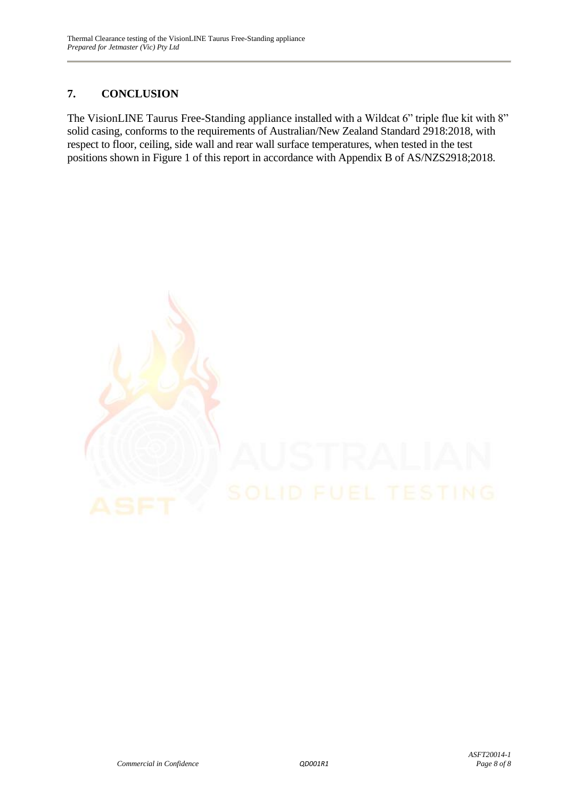## **7. CONCLUSION**

The VisionLINE Taurus Free-Standing appliance installed with a Wildcat 6" triple flue kit with 8" solid casing, conforms to the requirements of Australian/New Zealand Standard 2918:2018, with respect to floor, ceiling, side wall and rear wall surface temperatures, when tested in the test positions shown in Figure 1 of this report in accordance with Appendix B of AS/NZS2918;2018.